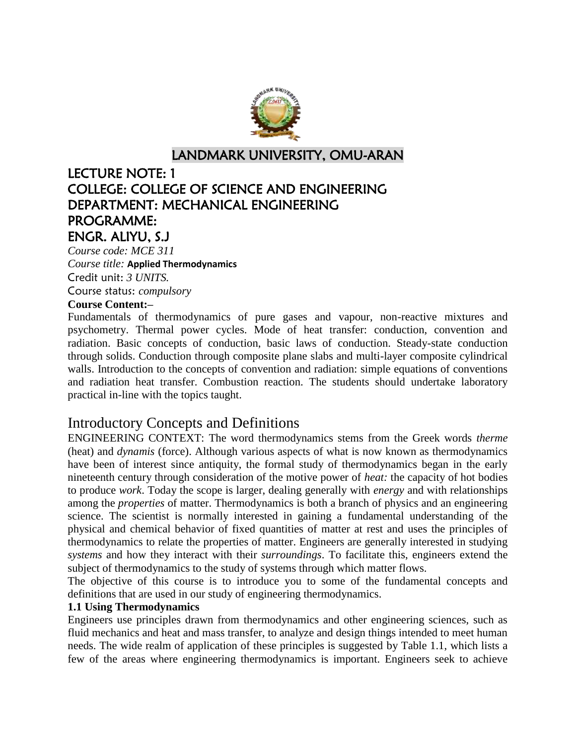

## LANDMARK UNIVERSITY, OMU-ARAN

# LECTURE NOTE: 1 COLLEGE: COLLEGE OF SCIENCE AND ENGINEERING DEPARTMENT: MECHANICAL ENGINEERING PROGRAMME: ENGR. ALIYU, S.J

*Course code: MCE 311 Course title:* **Applied Thermodynamics** Credit unit: *3 UNITS.* Course status: *compulsory*

### **Course Content:–**

Fundamentals of thermodynamics of pure gases and vapour, non-reactive mixtures and psychometry. Thermal power cycles. Mode of heat transfer: conduction, convention and radiation. Basic concepts of conduction, basic laws of conduction. Steady-state conduction through solids. Conduction through composite plane slabs and multi-layer composite cylindrical walls. Introduction to the concepts of convention and radiation: simple equations of conventions and radiation heat transfer. Combustion reaction. The students should undertake laboratory practical in-line with the topics taught.

# Introductory Concepts and Definitions

ENGINEERING CONTEXT: The word thermodynamics stems from the Greek words *therme*  (heat) and *dynamis* (force). Although various aspects of what is now known as thermodynamics have been of interest since antiquity, the formal study of thermodynamics began in the early nineteenth century through consideration of the motive power of *heat:* the capacity of hot bodies to produce *work*. Today the scope is larger, dealing generally with *energy* and with relationships among the *properties* of matter. Thermodynamics is both a branch of physics and an engineering science. The scientist is normally interested in gaining a fundamental understanding of the physical and chemical behavior of fixed quantities of matter at rest and uses the principles of thermodynamics to relate the properties of matter. Engineers are generally interested in studying *systems* and how they interact with their *surroundings*. To facilitate this, engineers extend the subject of thermodynamics to the study of systems through which matter flows.

The objective of this course is to introduce you to some of the fundamental concepts and definitions that are used in our study of engineering thermodynamics.

### **1.1 Using Thermodynamics**

Engineers use principles drawn from thermodynamics and other engineering sciences, such as fluid mechanics and heat and mass transfer, to analyze and design things intended to meet human needs. The wide realm of application of these principles is suggested by Table 1.1, which lists a few of the areas where engineering thermodynamics is important. Engineers seek to achieve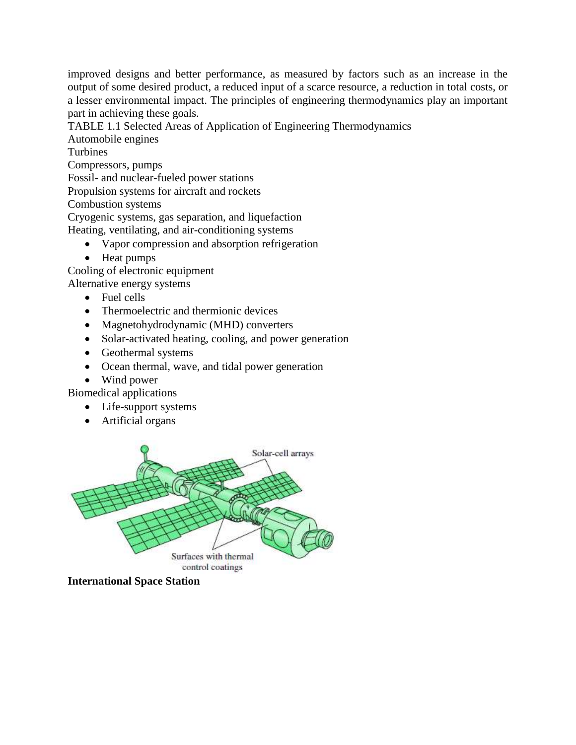improved designs and better performance, as measured by factors such as an increase in the output of some desired product, a reduced input of a scarce resource, a reduction in total costs, or a lesser environmental impact. The principles of engineering thermodynamics play an important part in achieving these goals.

TABLE 1.1 Selected Areas of Application of Engineering Thermodynamics

Automobile engines

Turbines

Compressors, pumps

Fossil- and nuclear-fueled power stations

Propulsion systems for aircraft and rockets

Combustion systems

Cryogenic systems, gas separation, and liquefaction Heating, ventilating, and air-conditioning systems

- Vapor compression and absorption refrigeration
- Heat pumps

Cooling of electronic equipment

Alternative energy systems

- Fuel cells
- Thermoelectric and thermionic devices
- Magnetohydrodynamic (MHD) converters
- Solar-activated heating, cooling, and power generation
- Geothermal systems
- Ocean thermal, wave, and tidal power generation
- Wind power

Biomedical applications

- Life-support systems
- Artificial organs



**International Space Station**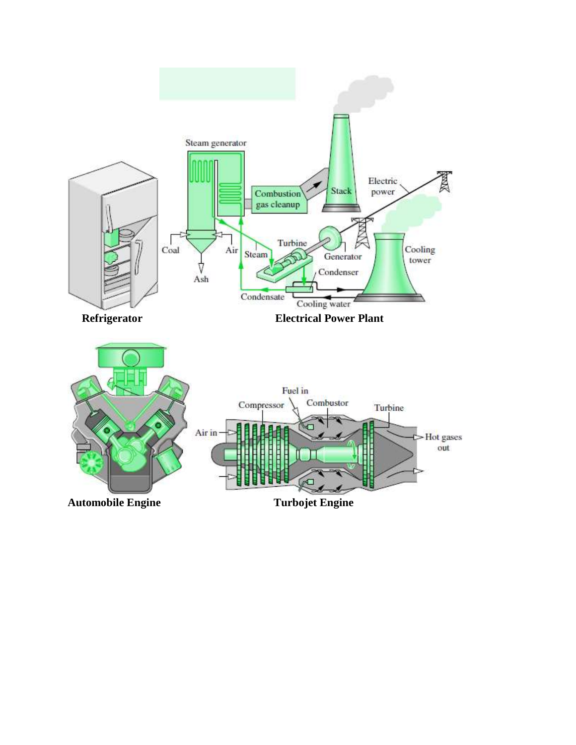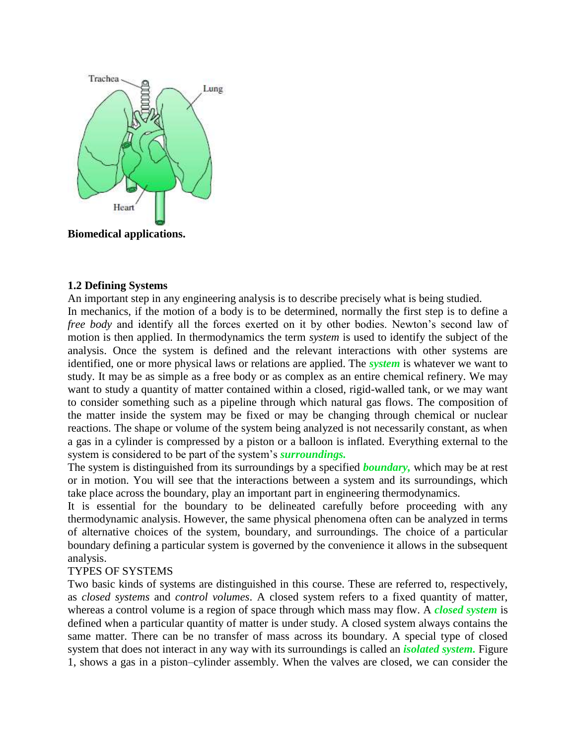

**Biomedical applications.**

#### **1.2 Defining Systems**

An important step in any engineering analysis is to describe precisely what is being studied. In mechanics, if the motion of a body is to be determined, normally the first step is to define a *free body* and identify all the forces exerted on it by other bodies. Newton's second law of motion is then applied. In thermodynamics the term *system* is used to identify the subject of the analysis. Once the system is defined and the relevant interactions with other systems are identified, one or more physical laws or relations are applied. The *system* is whatever we want to study. It may be as simple as a free body or as complex as an entire chemical refinery. We may want to study a quantity of matter contained within a closed, rigid-walled tank, or we may want to consider something such as a pipeline through which natural gas flows. The composition of the matter inside the system may be fixed or may be changing through chemical or nuclear reactions. The shape or volume of the system being analyzed is not necessarily constant, as when a gas in a cylinder is compressed by a piston or a balloon is inflated. Everything external to the system is considered to be part of the system's *surroundings.*

The system is distinguished from its surroundings by a specified *boundary,* which may be at rest or in motion. You will see that the interactions between a system and its surroundings, which take place across the boundary, play an important part in engineering thermodynamics.

It is essential for the boundary to be delineated carefully before proceeding with any thermodynamic analysis. However, the same physical phenomena often can be analyzed in terms of alternative choices of the system, boundary, and surroundings. The choice of a particular boundary defining a particular system is governed by the convenience it allows in the subsequent analysis.

### TYPES OF SYSTEMS

Two basic kinds of systems are distinguished in this course. These are referred to, respectively, as *closed systems* and *control volumes*. A closed system refers to a fixed quantity of matter, whereas a control volume is a region of space through which mass may flow. A *closed system* is defined when a particular quantity of matter is under study. A closed system always contains the same matter. There can be no transfer of mass across its boundary. A special type of closed system that does not interact in any way with its surroundings is called an *isolated system.* Figure 1, shows a gas in a piston–cylinder assembly. When the valves are closed, we can consider the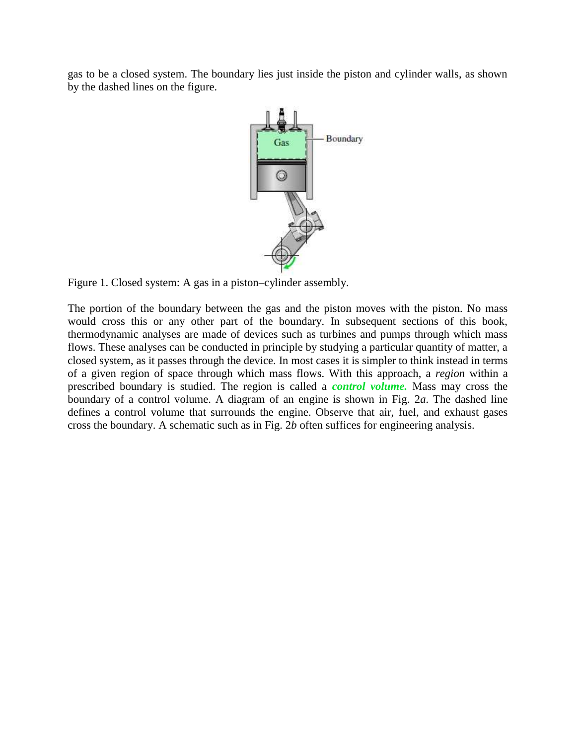gas to be a closed system. The boundary lies just inside the piston and cylinder walls, as shown by the dashed lines on the figure.



Figure 1. Closed system: A gas in a piston–cylinder assembly.

The portion of the boundary between the gas and the piston moves with the piston. No mass would cross this or any other part of the boundary. In subsequent sections of this book, thermodynamic analyses are made of devices such as turbines and pumps through which mass flows. These analyses can be conducted in principle by studying a particular quantity of matter, a closed system, as it passes through the device. In most cases it is simpler to think instead in terms of a given region of space through which mass flows. With this approach, a *region* within a prescribed boundary is studied. The region is called a *control volume.* Mass may cross the boundary of a control volume. A diagram of an engine is shown in Fig. 2*a*. The dashed line defines a control volume that surrounds the engine. Observe that air, fuel, and exhaust gases cross the boundary. A schematic such as in Fig. 2*b* often suffices for engineering analysis.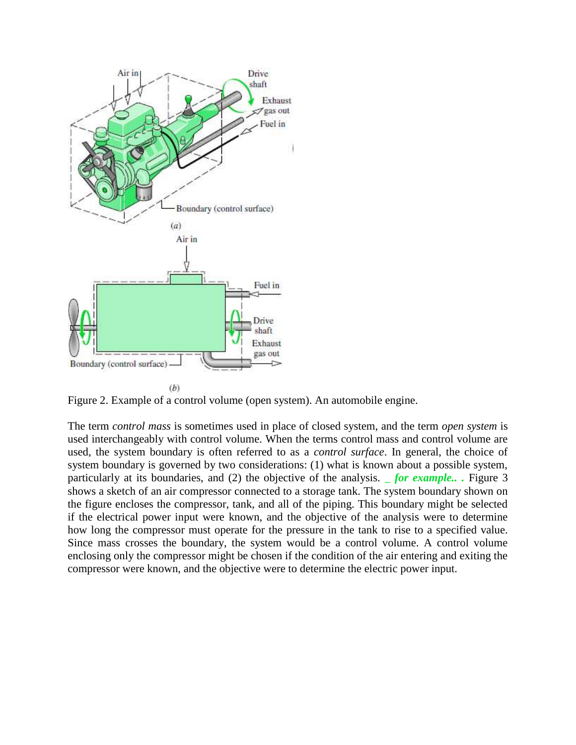

Figure 2. Example of a control volume (open system). An automobile engine.

The term *control mass* is sometimes used in place of closed system, and the term *open system* is used interchangeably with control volume. When the terms control mass and control volume are used, the system boundary is often referred to as a *control surface*. In general, the choice of system boundary is governed by two considerations: (1) what is known about a possible system, particularly at its boundaries, and (2) the objective of the analysis. *for example..* Figure 3 shows a sketch of an air compressor connected to a storage tank. The system boundary shown on the figure encloses the compressor, tank, and all of the piping. This boundary might be selected if the electrical power input were known, and the objective of the analysis were to determine how long the compressor must operate for the pressure in the tank to rise to a specified value. Since mass crosses the boundary, the system would be a control volume. A control volume enclosing only the compressor might be chosen if the condition of the air entering and exiting the compressor were known, and the objective were to determine the electric power input.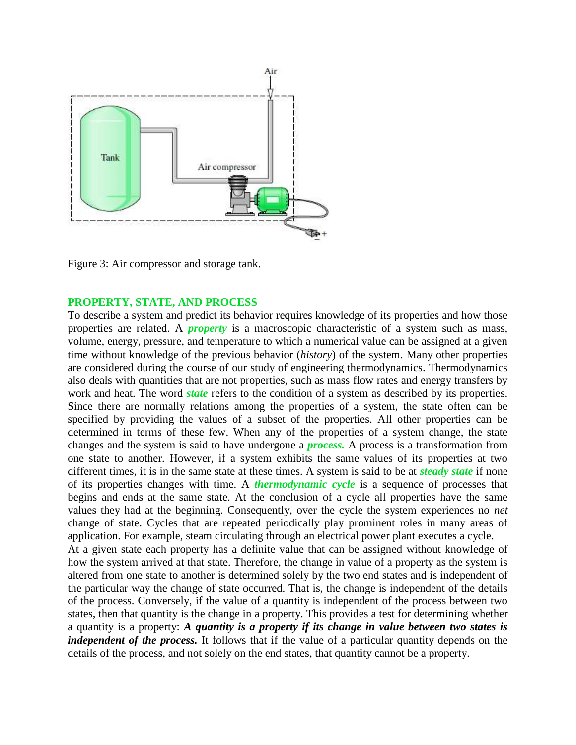

Figure 3: Air compressor and storage tank.

#### **PROPERTY, STATE, AND PROCESS**

To describe a system and predict its behavior requires knowledge of its properties and how those properties are related. A *property* is a macroscopic characteristic of a system such as mass, volume, energy, pressure, and temperature to which a numerical value can be assigned at a given time without knowledge of the previous behavior (*history*) of the system. Many other properties are considered during the course of our study of engineering thermodynamics. Thermodynamics also deals with quantities that are not properties, such as mass flow rates and energy transfers by work and heat. The word *state* refers to the condition of a system as described by its properties. Since there are normally relations among the properties of a system, the state often can be specified by providing the values of a subset of the properties. All other properties can be determined in terms of these few. When any of the properties of a system change, the state changes and the system is said to have undergone a *process.* A process is a transformation from one state to another. However, if a system exhibits the same values of its properties at two different times, it is in the same state at these times. A system is said to be at *steady state* if none of its properties changes with time. A *thermodynamic cycle* is a sequence of processes that begins and ends at the same state. At the conclusion of a cycle all properties have the same values they had at the beginning. Consequently, over the cycle the system experiences no *net*  change of state. Cycles that are repeated periodically play prominent roles in many areas of application. For example, steam circulating through an electrical power plant executes a cycle. At a given state each property has a definite value that can be assigned without knowledge of how the system arrived at that state. Therefore, the change in value of a property as the system is altered from one state to another is determined solely by the two end states and is independent of the particular way the change of state occurred. That is, the change is independent of the details of the process. Conversely, if the value of a quantity is independent of the process between two states, then that quantity is the change in a property. This provides a test for determining whether a quantity is a property: *A quantity is a property if its change in value between two states is independent of the process.* It follows that if the value of a particular quantity depends on the details of the process, and not solely on the end states, that quantity cannot be a property.